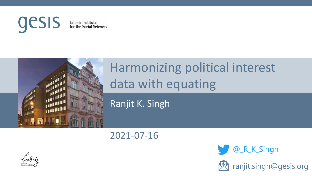

Leibniz Institute for the Social Sciences



## Harmonizing political interest data with equating

Ranjit K. Singh

2021-07-16



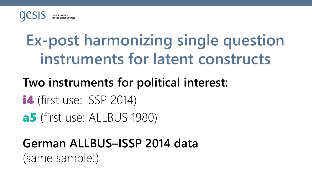

# **Ex-post harmonizing single question instruments for latent constructs**

#### **Two instruments for political interest:**

- **i4** (first use: ISSP 2014)
- a5 (first use: ALLBUS 1980)

## **German ALLBUS–ISSP 2014 data** (same sample!)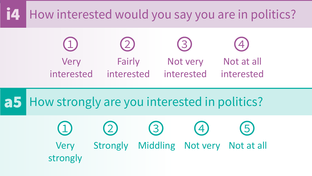## i4 How interested would you say you are in politics?



#### a5 How strongly are you interested in politics?

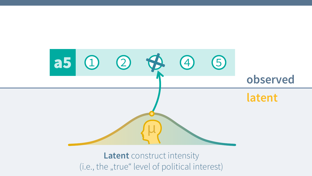

**Latent** construct intensity (i.e., the "true" level of political interest)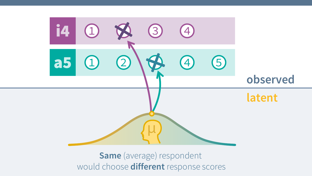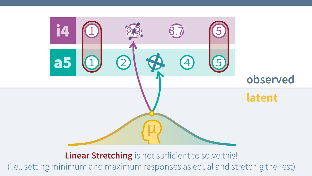

#### **Linear Stretching** is not sufficient to solve this!

(i.e., setting minimum and maximum responses as equal and stretchig the rest)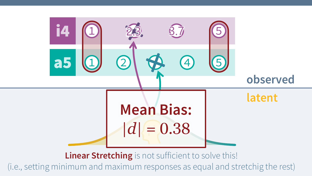

**Linear Stretching** is not sufficient to solve this!

(i.e., setting minimum and maximum responses as equal and stretchig the rest)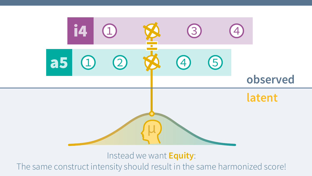

Instead we want **Equity**:

The same construct intensity should result in the same harmonized score!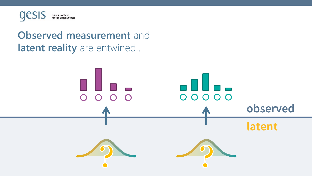

#### **Observed measurement** and **latent reality** are entwined…

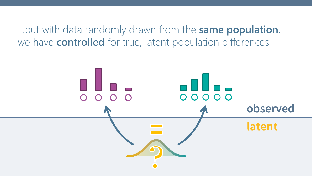…but with data randomly drawn from the **same population**, we have **controlled** for true, latent population differences

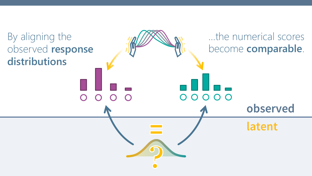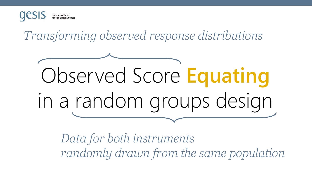

*Transforming observed response distributions*



*Data for both instruments randomly drawn from the same population*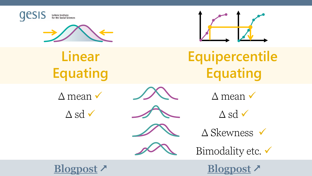



**Linear Equating**

 $\Delta$  mean  $\checkmark$ 









**Equipercentile Equating**

 $\Delta$  mean  $\checkmark$ 

- $\triangle$  sd  $\checkmark$
- $\triangle$  Skewness  $\checkmark$



**[Blogpost](https://blog.gesis.org/the-new-normal-linear-equating-of-different-instruments/) [Blogpost](https://blog.gesis.org/cats-are-liquids-equipercentile-equating-of-different-instruments/)**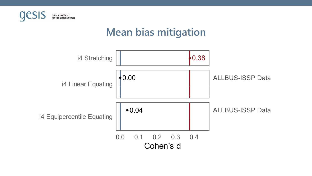

### **Mean bias mitigation**  $\frac{1}{\sqrt{2}}$

I

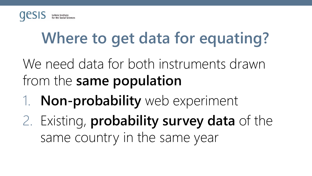

# **Where to get data for equating?**

We need data for both instruments drawn from the **same population**

1. **Non-probability** web experiment

2. Existing, **probability survey data** of the same country in the same year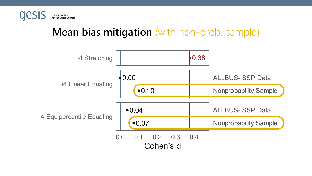

#### **Mean bias mitigation** (with non-prob. sample)

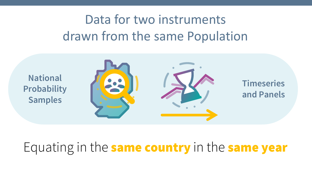## Data for two instruments drawn from the same Population

**National Probability Samples**



**Timeseries and Panels**

## Equating in the **same country** in the **same year**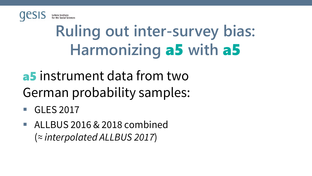

# **Ruling out inter-survey bias: Harmonizing** a5 **with** a5

- **a5** instrument data from two German probability samples:
- GLES 2017
- ALLBUS 2016 & 2018 combined (*≈ interpolated ALLBUS 2017*)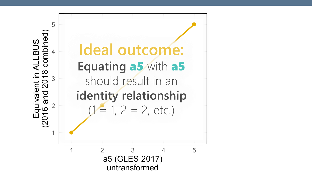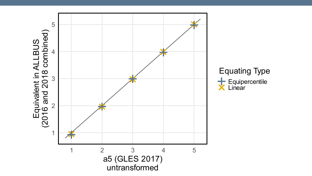

**Equating Type** Equipercentile<br> **X** Linear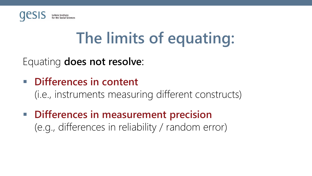

# **The limits of equating:**

Equating **does not resolve**:

▪ **Differences in content**

(i.e., instruments measuring different constructs)

▪ **Differences in measurement precision** (e.g., differences in reliability / random error)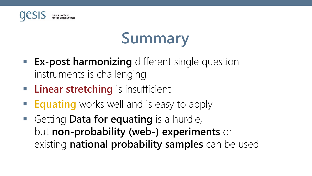

# **Summary**

- **Ex-post harmonizing** different single question instruments is challenging
- **Example 1 Linear stretching** is insufficient
- **Equating** works well and is easy to apply
- Getting **Data for equating** is a hurdle, but **non-probability (web-) experiments** or existing **national probability samples** can be used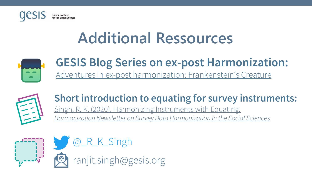

## **Additional Ressources**



#### **GESIS Blog Series on ex-post Harmonization:**  [Adventures in ex-post harmonization:](https://blog.gesis.org/adventures-in-ex-post-harmonization-frankensteins-creature/) Frankenstein's Creature



#### **Short introduction to equating for survey instruments:**

Singh, R. K. (2020). Harmonizing Instruments with Equating. *[Harmonization Newsletter on Survey Data Harmonization in the Social Sciences](https://nbn-resolving.org/urn:nbn:de:0168-ssoar-68262-1)*

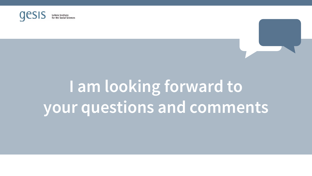

# **I am looking forward to your questions and comments**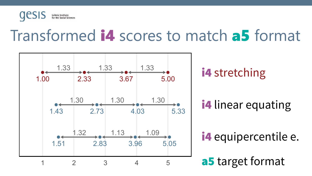

## Transformed i4 scores to match a5 format

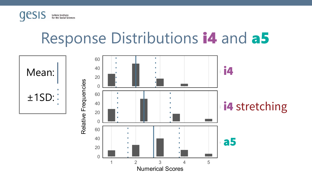

## Response Distributions i4 and a5

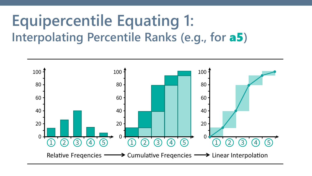## **Equipercentile Equating 1: Interpolating Percentile Ranks (e.g., for** a5**)**

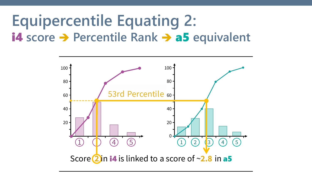## **Equipercentile Equating 2:** i4 **score** ➔ **Percentile Rank** ➔ a5 **equivalent**